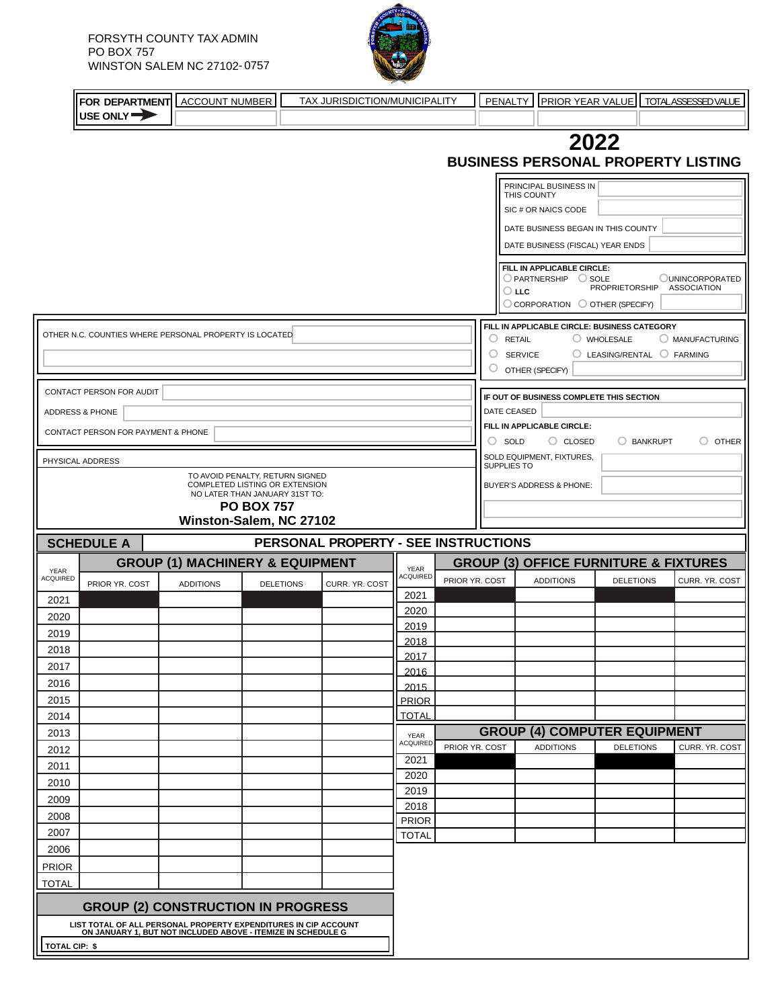

|                 |                                    | FOR DEPARTMENT ACCOUNT NUMBER                                    | TAX JURISDICTION/MUNICIPALITY        |                      |                |        | <b>PENALTY</b>                    |                                              |                  |                 | <b>PRIOR YEAR VALUE   TOTALASSESSED VALUE</b>    |  |
|-----------------|------------------------------------|------------------------------------------------------------------|--------------------------------------|----------------------|----------------|--------|-----------------------------------|----------------------------------------------|------------------|-----------------|--------------------------------------------------|--|
|                 | USE ONLY                           |                                                                  |                                      |                      |                |        |                                   |                                              |                  |                 |                                                  |  |
|                 |                                    |                                                                  |                                      |                      |                |        |                                   |                                              | 2022             |                 |                                                  |  |
|                 |                                    |                                                                  |                                      |                      |                |        |                                   |                                              |                  |                 | <b>BUSINESS PERSONAL PROPERTY LISTING</b>        |  |
|                 |                                    |                                                                  |                                      |                      |                |        |                                   | PRINCIPAL BUSINESS IN                        |                  |                 |                                                  |  |
|                 |                                    |                                                                  |                                      |                      |                |        | THIS COUNTY                       |                                              |                  |                 |                                                  |  |
|                 |                                    |                                                                  |                                      |                      |                |        |                                   | SIC # OR NAICS CODE                          |                  |                 |                                                  |  |
|                 |                                    |                                                                  |                                      |                      |                |        |                                   | DATE BUSINESS BEGAN IN THIS COUNTY           |                  |                 |                                                  |  |
|                 |                                    |                                                                  |                                      |                      |                |        |                                   | DATE BUSINESS (FISCAL) YEAR ENDS             |                  |                 |                                                  |  |
|                 |                                    |                                                                  |                                      |                      |                |        |                                   | FILL IN APPLICABLE CIRCLE:                   |                  |                 |                                                  |  |
|                 |                                    |                                                                  |                                      |                      |                |        | $\bigcirc$ llc                    | $\bigcirc$ PARTNERSHIP $\bigcirc$ SOLE       | PROPRIETORSHIP   |                 | <b>OUNINCORPORATED</b><br><b>ASSOCIATION</b>     |  |
|                 |                                    |                                                                  |                                      |                      |                |        |                                   | C CORPORATION C OTHER (SPECIFY)              |                  |                 |                                                  |  |
|                 |                                    | OTHER N.C. COUNTIES WHERE PERSONAL PROPERTY IS LOCATED           |                                      |                      |                |        |                                   | FILL IN APPLICABLE CIRCLE: BUSINESS CATEGORY |                  |                 |                                                  |  |
|                 |                                    |                                                                  |                                      |                      |                |        | <b>RETAIL</b>                     |                                              | WHOLESALE        |                 | O MANUFACTURING                                  |  |
|                 |                                    |                                                                  |                                      |                      |                | O<br>O | <b>SERVICE</b><br>OTHER (SPECIFY) |                                              | C LEASING/RENTAL |                 | $\bigcirc$ FARMING                               |  |
|                 |                                    |                                                                  |                                      |                      |                |        |                                   |                                              |                  |                 |                                                  |  |
|                 | CONTACT PERSON FOR AUDIT           |                                                                  |                                      |                      |                |        |                                   | IF OUT OF BUSINESS COMPLETE THIS SECTION     |                  |                 |                                                  |  |
|                 | ADDRESS & PHONE                    |                                                                  |                                      |                      |                |        | DATE CEASED                       |                                              |                  |                 |                                                  |  |
|                 | CONTACT PERSON FOR PAYMENT & PHONE |                                                                  |                                      |                      |                |        | $\circ$ sold                      | FILL IN APPLICABLE CIRCLE:<br>$\circ$ CLOSED |                  | <b>BANKRUPT</b> | $\circ$ other                                    |  |
|                 | PHYSICAL ADDRESS                   |                                                                  |                                      |                      |                |        |                                   | SOLD EQUIPMENT, FIXTURES,                    |                  |                 |                                                  |  |
|                 |                                    | TO AVOID PENALTY, RETURN SIGNED                                  |                                      |                      |                |        | SUPPLIES TO                       |                                              |                  |                 |                                                  |  |
|                 |                                    | COMPLETED LISTING OR EXTENSION<br>NO LATER THAN JANUARY 31ST TO: |                                      |                      |                |        |                                   | BUYER'S ADDRESS & PHONE:                     |                  |                 |                                                  |  |
|                 |                                    | <b>PO BOX 757</b>                                                |                                      |                      |                |        |                                   |                                              |                  |                 |                                                  |  |
|                 |                                    | Winston-Salem, NC 27102                                          |                                      |                      |                |        |                                   |                                              |                  |                 |                                                  |  |
|                 | <b>SCHEDULE A</b>                  |                                                                  | PERSONAL PROPERTY - SEE INSTRUCTIONS |                      |                |        |                                   |                                              |                  |                 |                                                  |  |
| YEAR            |                                    | <b>GROUP (1) MACHINERY &amp; EQUIPMENT</b>                       |                                      | <b>YEAR</b>          |                |        |                                   |                                              |                  |                 | <b>GROUP (3) OFFICE FURNITURE &amp; FIXTURES</b> |  |
| <b>ACQUIRED</b> | PRIOR YR. COST                     | <b>ADDITIONS</b>                                                 | <b>DELETIONS</b><br>CURR. YR. COST   | ACQUIRED             | PRIOR YR. COST |        |                                   | <b>ADDITIONS</b>                             | <b>DELETIONS</b> |                 | CURR. YR. COST                                   |  |
| 2021            |                                    |                                                                  |                                      | 2021                 |                |        |                                   |                                              |                  |                 |                                                  |  |
| 2020            |                                    |                                                                  |                                      | 2020<br>2019         |                |        |                                   |                                              |                  |                 |                                                  |  |
| 2019            |                                    |                                                                  |                                      | 2018                 |                |        |                                   |                                              |                  |                 |                                                  |  |
| 2018            |                                    |                                                                  |                                      | 2017                 |                |        |                                   |                                              |                  |                 |                                                  |  |
| 2017            |                                    |                                                                  |                                      | 2016                 |                |        |                                   |                                              |                  |                 |                                                  |  |
| 2016            |                                    |                                                                  |                                      | 2015                 |                |        |                                   |                                              |                  |                 |                                                  |  |
| 2015            |                                    |                                                                  |                                      | <b>PRIOR</b>         |                |        |                                   |                                              |                  |                 |                                                  |  |
| 2014            |                                    |                                                                  |                                      | <b>TOTAL</b>         |                |        |                                   | <b>GROUP (4) COMPUTER EQUIPMENT</b>          |                  |                 |                                                  |  |
| 2013<br>2012    |                                    |                                                                  |                                      | YEAR<br>ACQUIRED     | PRIOR YR. COST |        |                                   | <b>ADDITIONS</b>                             | <b>DELETIONS</b> |                 | CURR. YR. COST                                   |  |
| 2011            |                                    |                                                                  |                                      | 2021                 |                |        |                                   |                                              |                  |                 |                                                  |  |
| 2010            |                                    |                                                                  |                                      | 2020                 |                |        |                                   |                                              |                  |                 |                                                  |  |
| 2009            |                                    |                                                                  |                                      | 2019                 |                |        |                                   |                                              |                  |                 |                                                  |  |
| 2008            |                                    |                                                                  |                                      | 2018<br><b>PRIOR</b> |                |        |                                   |                                              |                  |                 |                                                  |  |
| 2007            |                                    |                                                                  |                                      | <b>TOTAL</b>         |                |        |                                   |                                              |                  |                 |                                                  |  |
| 2006            |                                    |                                                                  |                                      |                      |                |        |                                   |                                              |                  |                 |                                                  |  |
| <b>PRIOR</b>    |                                    |                                                                  |                                      |                      |                |        |                                   |                                              |                  |                 |                                                  |  |
| <b>TOTAL</b>    |                                    |                                                                  |                                      |                      |                |        |                                   |                                              |                  |                 |                                                  |  |
|                 |                                    | <b>GROUP (2) CONSTRUCTION IN PROGRESS</b>                        |                                      |                      |                |        |                                   |                                              |                  |                 |                                                  |  |
|                 |                                    |                                                                  |                                      |                      |                |        |                                   |                                              |                  |                 |                                                  |  |

**LIST TOTAL OF ALL PERSONAL PROPERTY EXPENDITURES IN CIP ACCOUNT ON JANUARY 1, BUT NOT INCLUDED ABOVE - ITEMIZE IN SCHEDULE G TOTAL CIP: \$**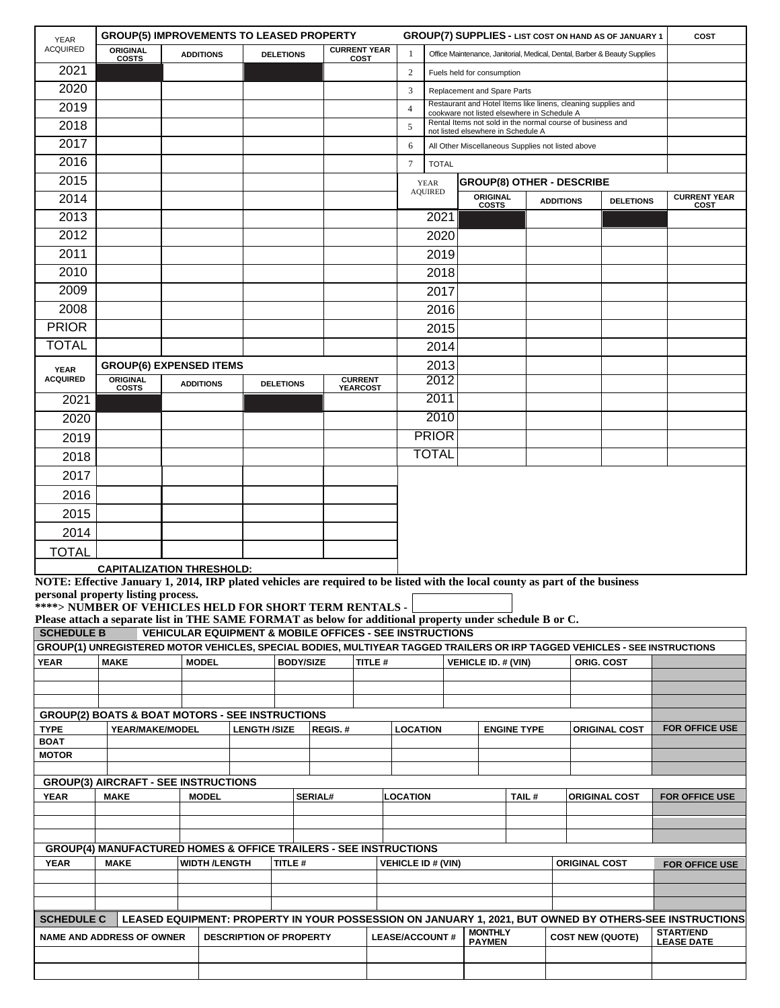| <b>YEAR</b>                    | <b>GROUP(5) IMPROVEMENTS TO LEASED PROPERTY</b>                                                                                                                    |                      |                                |                  |                                                                    |                 |                                              |                                                                                                              |                                 |                                                                                                  |                  |                      | <b>GROUP(7) SUPPLIES - LIST COST ON HAND AS OF JANUARY 1</b>              | COST                                                                                                   |
|--------------------------------|--------------------------------------------------------------------------------------------------------------------------------------------------------------------|----------------------|--------------------------------|------------------|--------------------------------------------------------------------|-----------------|----------------------------------------------|--------------------------------------------------------------------------------------------------------------|---------------------------------|--------------------------------------------------------------------------------------------------|------------------|----------------------|---------------------------------------------------------------------------|--------------------------------------------------------------------------------------------------------|
| <b>ACQUIRED</b>                | ORIGINAL<br><b>COSTS</b>                                                                                                                                           | <b>ADDITIONS</b>     |                                | <b>DELETIONS</b> | <b>CURRENT YEAR</b>                                                | COST            |                                              |                                                                                                              |                                 |                                                                                                  |                  |                      | Office Maintenance, Janitorial, Medical, Dental, Barber & Beauty Supplies |                                                                                                        |
| 2021                           |                                                                                                                                                                    |                      |                                |                  |                                                                    |                 | $\overline{2}$<br>Fuels held for consumption |                                                                                                              |                                 |                                                                                                  |                  |                      |                                                                           |                                                                                                        |
| 2020                           |                                                                                                                                                                    |                      |                                |                  |                                                                    |                 | 3                                            | Replacement and Spare Parts                                                                                  |                                 |                                                                                                  |                  |                      |                                                                           |                                                                                                        |
| 2019                           |                                                                                                                                                                    |                      |                                |                  |                                                                    |                 | $\overline{4}$                               | Restaurant and Hotel Items like linens, cleaning supplies and<br>cookware not listed elsewhere in Schedule A |                                 |                                                                                                  |                  |                      |                                                                           |                                                                                                        |
| 2018                           |                                                                                                                                                                    |                      |                                |                  |                                                                    |                 | 5                                            |                                                                                                              |                                 | Rental Items not sold in the normal course of business and<br>not listed elsewhere in Schedule A |                  |                      |                                                                           |                                                                                                        |
| 2017                           |                                                                                                                                                                    |                      |                                |                  |                                                                    |                 | 6                                            |                                                                                                              |                                 | All Other Miscellaneous Supplies not listed above                                                |                  |                      |                                                                           |                                                                                                        |
| 2016                           |                                                                                                                                                                    |                      |                                |                  |                                                                    |                 | $\tau$                                       | <b>TOTAL</b>                                                                                                 |                                 |                                                                                                  |                  |                      |                                                                           |                                                                                                        |
| 2015                           |                                                                                                                                                                    |                      |                                |                  |                                                                    |                 |                                              | <b>YEAR</b>                                                                                                  |                                 | <b>GROUP(8) OTHER - DESCRIBE</b>                                                                 |                  |                      |                                                                           |                                                                                                        |
| 2014                           |                                                                                                                                                                    |                      |                                |                  |                                                                    |                 |                                              | <b>AQUIRED</b>                                                                                               | ORIGINAL<br><b>COSTS</b>        |                                                                                                  | <b>ADDITIONS</b> |                      | <b>DELETIONS</b>                                                          | <b>CURRENT YEAR</b><br>COST                                                                            |
| 2013                           |                                                                                                                                                                    |                      |                                |                  |                                                                    |                 |                                              | 2021                                                                                                         |                                 |                                                                                                  |                  |                      |                                                                           |                                                                                                        |
| 2012                           |                                                                                                                                                                    |                      |                                |                  |                                                                    |                 |                                              | 2020                                                                                                         |                                 |                                                                                                  |                  |                      |                                                                           |                                                                                                        |
| 2011                           |                                                                                                                                                                    |                      |                                |                  |                                                                    |                 |                                              | 2019                                                                                                         |                                 |                                                                                                  |                  |                      |                                                                           |                                                                                                        |
| 2010                           |                                                                                                                                                                    |                      |                                |                  |                                                                    |                 |                                              | 2018                                                                                                         |                                 |                                                                                                  |                  |                      |                                                                           |                                                                                                        |
| 2009                           |                                                                                                                                                                    |                      |                                |                  |                                                                    |                 |                                              | 2017                                                                                                         |                                 |                                                                                                  |                  |                      |                                                                           |                                                                                                        |
| 2008                           |                                                                                                                                                                    |                      |                                |                  |                                                                    |                 |                                              | 2016                                                                                                         |                                 |                                                                                                  |                  |                      |                                                                           |                                                                                                        |
| <b>PRIOR</b>                   |                                                                                                                                                                    |                      |                                |                  |                                                                    |                 |                                              | 2015                                                                                                         |                                 |                                                                                                  |                  |                      |                                                                           |                                                                                                        |
| <b>TOTAL</b>                   |                                                                                                                                                                    |                      |                                |                  |                                                                    |                 |                                              | 2014                                                                                                         |                                 |                                                                                                  |                  |                      |                                                                           |                                                                                                        |
|                                | <b>GROUP(6) EXPENSED ITEMS</b>                                                                                                                                     |                      |                                |                  |                                                                    |                 |                                              | 2013                                                                                                         |                                 |                                                                                                  |                  |                      |                                                                           |                                                                                                        |
| <b>YEAR</b><br><b>ACQUIRED</b> | <b>ORIGINAL</b>                                                                                                                                                    | <b>ADDITIONS</b>     |                                | <b>DELETIONS</b> |                                                                    | <b>CURRENT</b>  |                                              | 2012                                                                                                         |                                 |                                                                                                  |                  |                      |                                                                           |                                                                                                        |
| 2021                           | <b>COSTS</b>                                                                                                                                                       |                      |                                |                  |                                                                    | <b>YEARCOST</b> |                                              | 2011                                                                                                         |                                 |                                                                                                  |                  |                      |                                                                           |                                                                                                        |
| 2020                           |                                                                                                                                                                    |                      |                                |                  |                                                                    |                 |                                              | 2010                                                                                                         |                                 |                                                                                                  |                  |                      |                                                                           |                                                                                                        |
| 2019                           |                                                                                                                                                                    |                      |                                |                  |                                                                    |                 |                                              | <b>PRIOR</b>                                                                                                 |                                 |                                                                                                  |                  |                      |                                                                           |                                                                                                        |
| 2018                           |                                                                                                                                                                    |                      |                                |                  |                                                                    |                 |                                              | <b>TOTAL</b>                                                                                                 |                                 |                                                                                                  |                  |                      |                                                                           |                                                                                                        |
| 2017                           |                                                                                                                                                                    |                      |                                |                  |                                                                    |                 |                                              |                                                                                                              |                                 |                                                                                                  |                  |                      |                                                                           |                                                                                                        |
| 2016                           |                                                                                                                                                                    |                      |                                |                  |                                                                    |                 |                                              |                                                                                                              |                                 |                                                                                                  |                  |                      |                                                                           |                                                                                                        |
| 2015                           |                                                                                                                                                                    |                      |                                |                  |                                                                    |                 |                                              |                                                                                                              |                                 |                                                                                                  |                  |                      |                                                                           |                                                                                                        |
|                                |                                                                                                                                                                    |                      |                                |                  |                                                                    |                 |                                              |                                                                                                              |                                 |                                                                                                  |                  |                      |                                                                           |                                                                                                        |
| 2014                           |                                                                                                                                                                    |                      |                                |                  |                                                                    |                 |                                              |                                                                                                              |                                 |                                                                                                  |                  |                      |                                                                           |                                                                                                        |
| <b>TOTAL</b>                   |                                                                                                                                                                    |                      |                                |                  |                                                                    |                 |                                              |                                                                                                              |                                 |                                                                                                  |                  |                      |                                                                           |                                                                                                        |
|                                | <b>CAPITALIZATION THRESHOLD:</b><br>NOTE: Effective January 1, 2014, IRP plated vehicles are required to be listed with the local county as part of the business   |                      |                                |                  |                                                                    |                 |                                              |                                                                                                              |                                 |                                                                                                  |                  |                      |                                                                           |                                                                                                        |
|                                | personal property listing process.                                                                                                                                 |                      |                                |                  |                                                                    |                 |                                              |                                                                                                              |                                 |                                                                                                  |                  |                      |                                                                           |                                                                                                        |
|                                | ****> NUMBER OF VEHICLES HELD FOR SHORT TERM RENTALS -<br>Please attach a separate list in THE SAME FORMAT as below for additional property under schedule B or C. |                      |                                |                  |                                                                    |                 |                                              |                                                                                                              |                                 |                                                                                                  |                  |                      |                                                                           |                                                                                                        |
| <b>SCHEDULE B</b>              |                                                                                                                                                                    |                      |                                |                  | <b>VEHICULAR EQUIPMENT &amp; MOBILE OFFICES - SEE INSTRUCTIONS</b> |                 |                                              |                                                                                                              |                                 |                                                                                                  |                  |                      |                                                                           |                                                                                                        |
|                                | GROUP(1) UNREGISTERED MOTOR VEHICLES, SPECIAL BODIES, MULTIYEAR TAGGED TRAILERS OR IRP TAGGED VEHICLES - SEE INSTRUCTIONS                                          |                      |                                |                  |                                                                    |                 |                                              |                                                                                                              |                                 |                                                                                                  |                  |                      |                                                                           |                                                                                                        |
| <b>YEAR</b>                    | <b>MAKE</b>                                                                                                                                                        | <b>MODEL</b>         |                                | <b>BODY/SIZE</b> |                                                                    | TITLE #         |                                              |                                                                                                              | <b>VEHICLE ID. # (VIN)</b>      |                                                                                                  |                  |                      | ORIG. COST                                                                |                                                                                                        |
|                                |                                                                                                                                                                    |                      |                                |                  |                                                                    |                 |                                              |                                                                                                              |                                 |                                                                                                  |                  |                      |                                                                           |                                                                                                        |
|                                |                                                                                                                                                                    |                      |                                |                  |                                                                    |                 |                                              |                                                                                                              |                                 |                                                                                                  |                  |                      |                                                                           |                                                                                                        |
|                                | <b>GROUP(2) BOATS &amp; BOAT MOTORS - SEE INSTRUCTIONS</b>                                                                                                         |                      |                                |                  |                                                                    |                 |                                              |                                                                                                              |                                 |                                                                                                  |                  |                      |                                                                           | FOR OFFICE USE                                                                                         |
| <b>TYPE</b><br><b>BOAT</b>     | YEAR/MAKE/MODEL                                                                                                                                                    |                      | <b>LENGTH /SIZE</b>            |                  | REGIS.#                                                            |                 | <b>LOCATION</b>                              |                                                                                                              |                                 | <b>ENGINE TYPE</b>                                                                               |                  |                      | <b>ORIGINAL COST</b>                                                      |                                                                                                        |
| <b>MOTOR</b>                   |                                                                                                                                                                    |                      |                                |                  |                                                                    |                 |                                              |                                                                                                              |                                 |                                                                                                  |                  |                      |                                                                           |                                                                                                        |
|                                |                                                                                                                                                                    |                      |                                |                  |                                                                    |                 |                                              |                                                                                                              |                                 |                                                                                                  |                  |                      |                                                                           |                                                                                                        |
| <b>YEAR</b>                    | <b>GROUP(3) AIRCRAFT - SEE INSTRUCTIONS</b><br><b>MAKE</b>                                                                                                         | <b>MODEL</b>         |                                |                  | <b>SERIAL#</b>                                                     |                 | <b>LOCATION</b>                              |                                                                                                              |                                 | TAIL#                                                                                            |                  |                      | <b>ORIGINAL COST</b>                                                      | <b>FOR OFFICE USE</b>                                                                                  |
|                                |                                                                                                                                                                    |                      |                                |                  |                                                                    |                 |                                              |                                                                                                              |                                 |                                                                                                  |                  |                      |                                                                           |                                                                                                        |
|                                |                                                                                                                                                                    |                      |                                |                  |                                                                    |                 |                                              |                                                                                                              |                                 |                                                                                                  |                  |                      |                                                                           |                                                                                                        |
|                                | <b>GROUP(4) MANUFACTURED HOMES &amp; OFFICE TRAILERS - SEE INSTRUCTIONS</b>                                                                                        |                      |                                |                  |                                                                    |                 |                                              |                                                                                                              |                                 |                                                                                                  |                  |                      |                                                                           |                                                                                                        |
| <b>YEAR</b>                    | <b>MAKE</b>                                                                                                                                                        | <b>WIDTH /LENGTH</b> |                                | <b>TITLE #</b>   |                                                                    |                 | <b>VEHICLE ID # (VIN)</b>                    |                                                                                                              |                                 |                                                                                                  |                  | <b>ORIGINAL COST</b> |                                                                           | FOR OFFICE USE                                                                                         |
|                                |                                                                                                                                                                    |                      |                                |                  |                                                                    |                 |                                              |                                                                                                              |                                 |                                                                                                  |                  |                      |                                                                           |                                                                                                        |
|                                |                                                                                                                                                                    |                      |                                |                  |                                                                    |                 |                                              |                                                                                                              |                                 |                                                                                                  |                  |                      |                                                                           |                                                                                                        |
| <b>SCHEDULE C</b>              |                                                                                                                                                                    |                      |                                |                  |                                                                    |                 |                                              |                                                                                                              |                                 |                                                                                                  |                  |                      |                                                                           | LEASED EQUIPMENT: PROPERTY IN YOUR POSSESSION ON JANUARY 1, 2021, BUT OWNED BY OTHERS-SEE INSTRUCTIONS |
|                                | <b>NAME AND ADDRESS OF OWNER</b>                                                                                                                                   |                      | <b>DESCRIPTION OF PROPERTY</b> |                  |                                                                    |                 | <b>LEASE/ACCOUNT#</b>                        |                                                                                                              | <b>MONTHLY</b><br><b>PAYMEN</b> |                                                                                                  |                  |                      | <b>COST NEW (QUOTE)</b>                                                   | <b>START/END</b><br><b>LEASE DATE</b>                                                                  |
|                                |                                                                                                                                                                    |                      |                                |                  |                                                                    |                 |                                              |                                                                                                              |                                 |                                                                                                  |                  |                      |                                                                           |                                                                                                        |
|                                |                                                                                                                                                                    |                      |                                |                  |                                                                    |                 |                                              |                                                                                                              |                                 |                                                                                                  |                  |                      |                                                                           |                                                                                                        |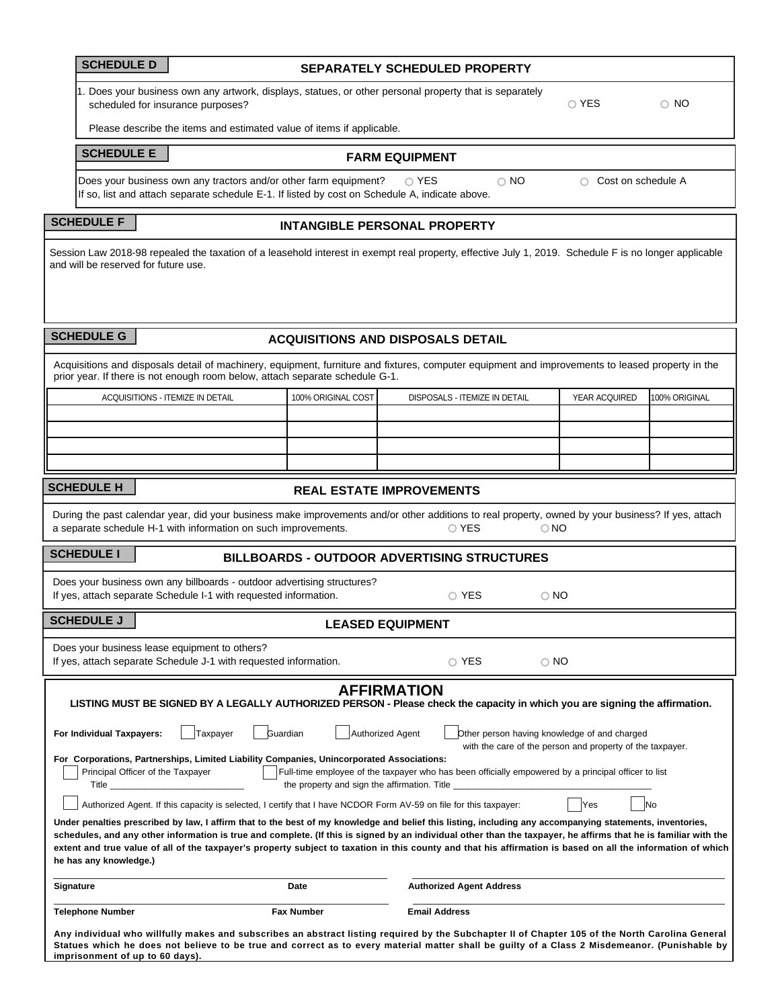| <b>SCHEDULE D</b> |  |
|-------------------|--|
|-------------------|--|

# **SCHEDULE D SEPARATELY SCHEDULED PROPERTY**

1. Does your business own any artwork, displays, statues, or other personal property that is separately scheduled for insurance purposes?

O YES O NO

Please describe the items and estimated value of items if applicable.

# **SCHEDULE E FARM EQUIPMENT**

Does your business own any tractors and/or other farm equipment?  $\bigcirc$  YES  $\bigcirc$  NO  $\bigcirc$  Cost on schedule A If so, list and attach separate schedule E-1. If listed by cost on Schedule A, indicate above.

# **SCHEDULE F INTANGIBLE PERSONAL PROPERTY**

Session Law 2018-98 repealed the taxation of a leasehold interest in exempt real property, effective July 1, 2019. Schedule F is no longer applicable and will be reserved for future use.

| <b>SCHEDULE G</b> |  |  |  |  |  |  |
|-------------------|--|--|--|--|--|--|
|-------------------|--|--|--|--|--|--|

**imprisonment of up to 60 days).**

## **ACQUISITIONS AND DISPOSALS DETAIL**

|                           | prior year. If there is not enough room below, attach separate schedule G-1.                                                                |                                 | Acquisitions and disposals detail of machinery, equipment, furniture and fixtures, computer equipment and improvements to leased property in the                                                                                                                                                                                                                                                                                                                                             |                                                                                                           |               |
|---------------------------|---------------------------------------------------------------------------------------------------------------------------------------------|---------------------------------|----------------------------------------------------------------------------------------------------------------------------------------------------------------------------------------------------------------------------------------------------------------------------------------------------------------------------------------------------------------------------------------------------------------------------------------------------------------------------------------------|-----------------------------------------------------------------------------------------------------------|---------------|
|                           | <b>ACQUISITIONS - ITEMIZE IN DETAIL</b>                                                                                                     | 100% ORIGINAL COST              | DISPOSALS - ITEMIZE IN DETAIL                                                                                                                                                                                                                                                                                                                                                                                                                                                                | YEAR ACQUIRED                                                                                             | 100% ORIGINAL |
|                           |                                                                                                                                             |                                 |                                                                                                                                                                                                                                                                                                                                                                                                                                                                                              |                                                                                                           |               |
|                           |                                                                                                                                             |                                 |                                                                                                                                                                                                                                                                                                                                                                                                                                                                                              |                                                                                                           |               |
|                           |                                                                                                                                             |                                 |                                                                                                                                                                                                                                                                                                                                                                                                                                                                                              |                                                                                                           |               |
|                           |                                                                                                                                             |                                 |                                                                                                                                                                                                                                                                                                                                                                                                                                                                                              |                                                                                                           |               |
| <b>SCHEDULE H</b>         |                                                                                                                                             | <b>REAL ESTATE IMPROVEMENTS</b> |                                                                                                                                                                                                                                                                                                                                                                                                                                                                                              |                                                                                                           |               |
|                           | a separate schedule H-1 with information on such improvements.                                                                              |                                 | During the past calendar year, did your business make improvements and/or other additions to real property, owned by your business? If yes, attach<br>O YES                                                                                                                                                                                                                                                                                                                                  | $\bigcirc$ NO                                                                                             |               |
| <b>SCHEDULE I</b>         |                                                                                                                                             |                                 | <b>BILLBOARDS - OUTDOOR ADVERTISING STRUCTURES</b>                                                                                                                                                                                                                                                                                                                                                                                                                                           |                                                                                                           |               |
|                           | Does your business own any billboards - outdoor advertising structures?<br>If yes, attach separate Schedule I-1 with requested information. |                                 | $\circ$ YES                                                                                                                                                                                                                                                                                                                                                                                                                                                                                  | $\circ$ NO                                                                                                |               |
| <b>SCHEDULE J</b>         |                                                                                                                                             | <b>LEASED EQUIPMENT</b>         |                                                                                                                                                                                                                                                                                                                                                                                                                                                                                              |                                                                                                           |               |
|                           | Does your business lease equipment to others?<br>If yes, attach separate Schedule J-1 with requested information.                           |                                 | $\circ$ YES                                                                                                                                                                                                                                                                                                                                                                                                                                                                                  | $\circ$ NO                                                                                                |               |
|                           |                                                                                                                                             |                                 | <b>AFFIRMATION</b><br>LISTING MUST BE SIGNED BY A LEGALLY AUTHORIZED PERSON - Please check the capacity in which you are signing the affirmation.                                                                                                                                                                                                                                                                                                                                            |                                                                                                           |               |
| For Individual Taxpayers: | Taxpayer                                                                                                                                    | Guardian<br>Authorized Agent    |                                                                                                                                                                                                                                                                                                                                                                                                                                                                                              | Other person having knowledge of and charged<br>with the care of the person and property of the taxpayer. |               |
|                           | For Corporations, Partnerships, Limited Liability Companies, Unincorporated Associations:<br>Principal Officer of the Taxpayer<br>Title     |                                 | Full-time employee of the taxpayer who has been officially empowered by a principal officer to list<br>the property and sign the affirmation. Title ___________________________________                                                                                                                                                                                                                                                                                                      |                                                                                                           |               |
|                           | Authorized Agent. If this capacity is selected, I certify that I have NCDOR Form AV-59 on file for this taxpayer:                           |                                 |                                                                                                                                                                                                                                                                                                                                                                                                                                                                                              | Yes                                                                                                       | <b>No</b>     |
| he has any knowledge.)    |                                                                                                                                             |                                 | Under penalties prescribed by law, I affirm that to the best of my knowledge and belief this listing, including any accompanying statements, inventories,<br>schedules, and any other information is true and complete. (If this is signed by an individual other than the taxpayer, he affirms that he is familiar with the<br>extent and true value of all of the taxpayer's property subject to taxation in this county and that his affirmation is based on all the information of which |                                                                                                           |               |
| Signature                 |                                                                                                                                             | Date                            | <b>Authorized Agent Address</b>                                                                                                                                                                                                                                                                                                                                                                                                                                                              |                                                                                                           |               |
| <b>Telephone Number</b>   |                                                                                                                                             | <b>Fax Number</b>               | <b>Email Address</b>                                                                                                                                                                                                                                                                                                                                                                                                                                                                         |                                                                                                           |               |